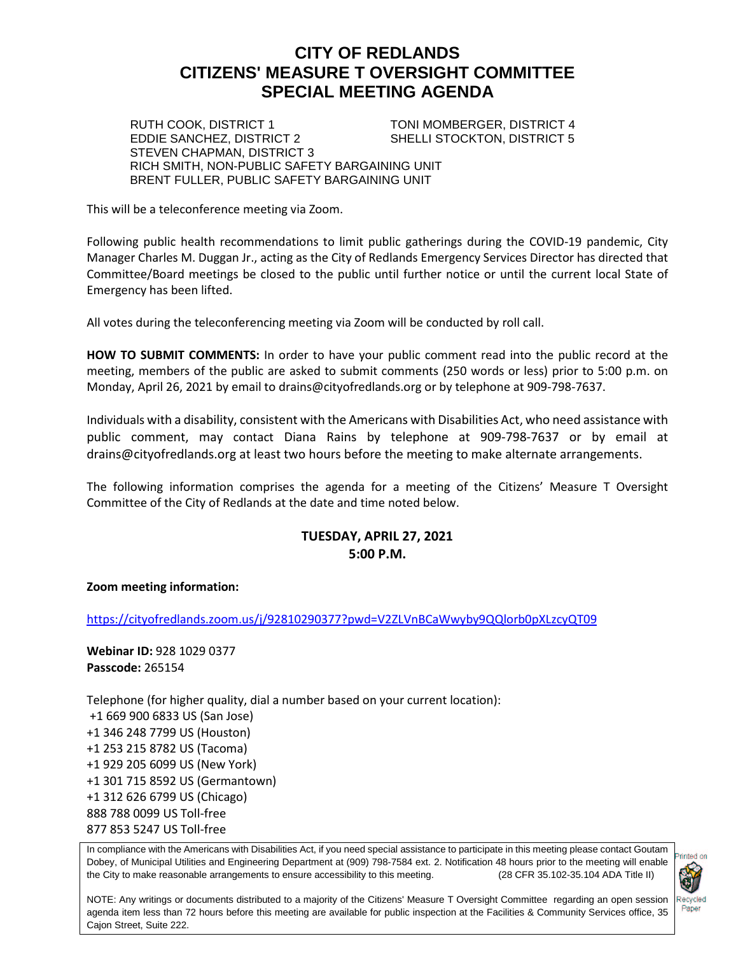# **CITY OF REDLANDS CITIZENS' MEASURE T OVERSIGHT COMMITTEE SPECIAL MEETING AGENDA**

RUTH COOK, DISTRICT 1 TONI MOMBERGER, DISTRICT 4<br>EDDIE SANCHEZ, DISTRICT 2 SHELLI STOCKTON, DISTRICT 5 SHELLI STOCKTON, DISTRICT 5

STEVEN CHAPMAN, DISTRICT 3 RICH SMITH, NON-PUBLIC SAFETY BARGAINING UNIT BRENT FULLER, PUBLIC SAFETY BARGAINING UNIT

This will be a teleconference meeting via Zoom.

Following public health recommendations to limit public gatherings during the COVID-19 pandemic, City Manager Charles M. Duggan Jr., acting as the City of Redlands Emergency Services Director has directed that Committee/Board meetings be closed to the public until further notice or until the current local State of Emergency has been lifted.

All votes during the teleconferencing meeting via Zoom will be conducted by roll call.

**HOW TO SUBMIT COMMENTS:** In order to have your public comment read into the public record at the meeting, members of the public are asked to submit comments (250 words or less) prior to 5:00 p.m. on Monday, April 26, 2021 by email to drains@cityofredlands.org or by telephone at 909-798-7637.

Individuals with a disability, consistent with the Americans with Disabilities Act, who need assistance with public comment, may contact Diana Rains by telephone at 909-798-7637 or by email at drains@cityofredlands.org at least two hours before the meeting to make alternate arrangements.

The following information comprises the agenda for a meeting of the Citizens' Measure T Oversight Committee of the City of Redlands at the date and time noted below.

# **TUESDAY, APRIL 27, 2021 5:00 P.M.**

#### **Zoom meeting information:**

<https://cityofredlands.zoom.us/j/92810290377?pwd=V2ZLVnBCaWwyby9QQlorb0pXLzcyQT09>

**Webinar ID:** 928 1029 0377 **Passcode:** 265154

Telephone (for higher quality, dial a number based on your current location): +1 669 900 6833 US (San Jose) +1 346 248 7799 US (Houston) +1 253 215 8782 US (Tacoma) +1 929 205 6099 US (New York) +1 301 715 8592 US (Germantown) +1 312 626 6799 US (Chicago) 888 788 0099 US Toll-free 877 853 5247 US Toll-free

In compliance with the Americans with Disabilities Act, if you need special assistance to participate in this meeting please contact Goutam Dobey, of Municipal Utilities and Engineering Department at (909) 798-7584 ext. 2. Notification 48 hours prior to the meeting will enable the City to make reasonable arrangements to ensure accessibility to this meeting. (28 CFR 35.102-35.104 ADA Title II)



NOTE: Any writings or documents distributed to a majority of the Citizens' Measure T Oversight Committee regarding an open session agenda item less than 72 hours before this meeting are available for public inspection at the Facilities & Community Services office, 35 Cajon Street, Suite 222.